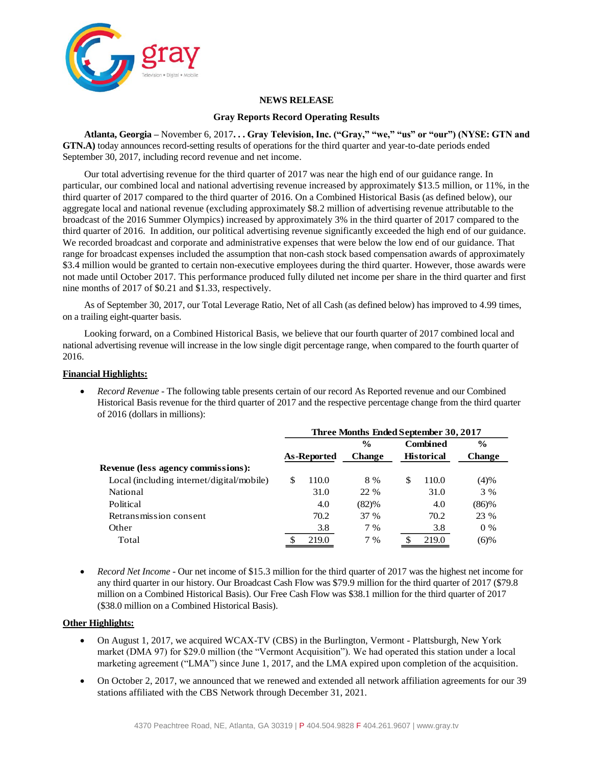

#### **NEWS RELEASE**

#### **Gray Reports Record Operating Results**

**Atlanta, Georgia –** November 6, 2017**. . . Gray Television, Inc. ("Gray," "we," "us" or "our") (NYSE: GTN and GTN.A)** today announces record-setting results of operations for the third quarter and year-to-date periods ended September 30, 2017, including record revenue and net income.

Our total advertising revenue for the third quarter of 2017 was near the high end of our guidance range. In particular, our combined local and national advertising revenue increased by approximately \$13.5 million, or 11%, in the third quarter of 2017 compared to the third quarter of 2016. On a Combined Historical Basis (as defined below), our aggregate local and national revenue (excluding approximately \$8.2 million of advertising revenue attributable to the broadcast of the 2016 Summer Olympics) increased by approximately 3% in the third quarter of 2017 compared to the third quarter of 2016. In addition, our political advertising revenue significantly exceeded the high end of our guidance. We recorded broadcast and corporate and administrative expenses that were below the low end of our guidance. That range for broadcast expenses included the assumption that non-cash stock based compensation awards of approximately \$3.4 million would be granted to certain non-executive employees during the third quarter. However, those awards were not made until October 2017. This performance produced fully diluted net income per share in the third quarter and first nine months of 2017 of \$0.21 and \$1.33, respectively.

As of September 30, 2017, our Total Leverage Ratio, Net of all Cash (as defined below) has improved to 4.99 times, on a trailing eight-quarter basis.

Looking forward, on a Combined Historical Basis, we believe that our fourth quarter of 2017 combined local and national advertising revenue will increase in the low single digit percentage range, when compared to the fourth quarter of 2016.

#### **Financial Highlights:**

 *Record Revenue* - The following table presents certain of our record As Reported revenue and our Combined Historical Basis revenue for the third quarter of 2017 and the respective percentage change from the third quarter of 2016 (dollars in millions):

|                                           | Three Months Ended September 30, 2017 |             |               |    |                   |               |  |  |  |
|-------------------------------------------|---------------------------------------|-------------|---------------|----|-------------------|---------------|--|--|--|
|                                           |                                       |             | $\frac{6}{9}$ |    | <b>Combined</b>   | $\frac{6}{9}$ |  |  |  |
|                                           |                                       | As-Reported | <b>Change</b> |    | <b>Historical</b> | <b>Change</b> |  |  |  |
| Revenue (less agency commissions):        |                                       |             |               |    |                   |               |  |  |  |
| Local (including internet/digital/mobile) | \$                                    | 110.0       | 8 %           | \$ | 110.0             | (4)%          |  |  |  |
| National                                  |                                       | 31.0        | 22 %          |    | 31.0              | 3 %           |  |  |  |
| Political                                 |                                       | 4.0         | (82)%         |    | 4.0               | (86)%         |  |  |  |
| Retransmission consent                    |                                       | 70.2        | 37 %          |    | 70.2              | 23 %          |  |  |  |
| Other                                     |                                       | 3.8         | 7 %           |    | 3.8               | $0\%$         |  |  |  |
| Total                                     |                                       | 219.0       | 7 %           |    | 219.0             | (6)%          |  |  |  |

 *Record Net Income -* Our net income of \$15.3 million for the third quarter of 2017 was the highest net income for any third quarter in our history. Our Broadcast Cash Flow was \$79.9 million for the third quarter of 2017 (\$79.8 million on a Combined Historical Basis). Our Free Cash Flow was \$38.1 million for the third quarter of 2017 (\$38.0 million on a Combined Historical Basis).

#### **Other Highlights:**

- On August 1, 2017, we acquired WCAX-TV (CBS) in the Burlington, Vermont Plattsburgh, New York market (DMA 97) for \$29.0 million (the "Vermont Acquisition"). We had operated this station under a local marketing agreement ("LMA") since June 1, 2017, and the LMA expired upon completion of the acquisition.
- On October 2, 2017, we announced that we renewed and extended all network affiliation agreements for our 39 stations affiliated with the CBS Network through December 31, 2021.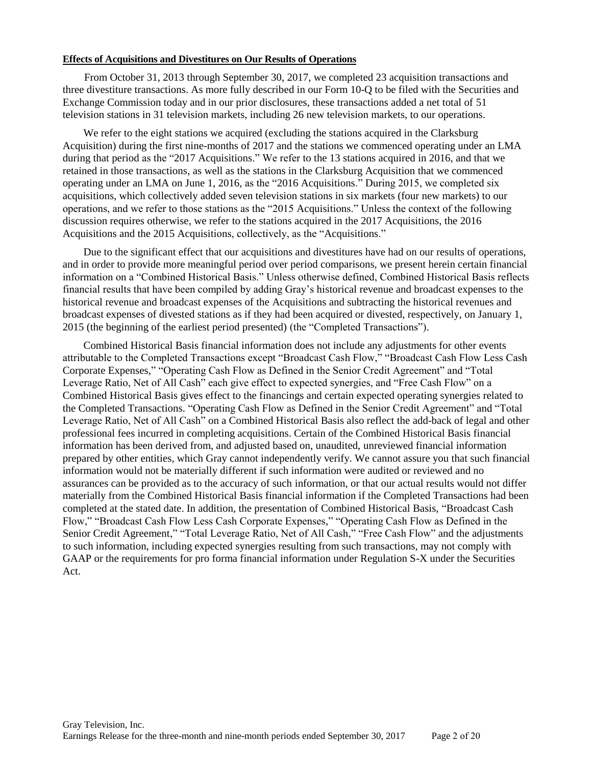#### **Effects of Acquisitions and Divestitures on Our Results of Operations**

From October 31, 2013 through September 30, 2017, we completed 23 acquisition transactions and three divestiture transactions. As more fully described in our Form 10-Q to be filed with the Securities and Exchange Commission today and in our prior disclosures, these transactions added a net total of 51 television stations in 31 television markets, including 26 new television markets, to our operations.

We refer to the eight stations we acquired (excluding the stations acquired in the Clarksburg Acquisition) during the first nine-months of 2017 and the stations we commenced operating under an LMA during that period as the "2017 Acquisitions." We refer to the 13 stations acquired in 2016, and that we retained in those transactions, as well as the stations in the Clarksburg Acquisition that we commenced operating under an LMA on June 1, 2016, as the "2016 Acquisitions." During 2015, we completed six acquisitions, which collectively added seven television stations in six markets (four new markets) to our operations, and we refer to those stations as the "2015 Acquisitions." Unless the context of the following discussion requires otherwise, we refer to the stations acquired in the 2017 Acquisitions, the 2016 Acquisitions and the 2015 Acquisitions, collectively, as the "Acquisitions."

Due to the significant effect that our acquisitions and divestitures have had on our results of operations, and in order to provide more meaningful period over period comparisons, we present herein certain financial information on a "Combined Historical Basis." Unless otherwise defined, Combined Historical Basis reflects financial results that have been compiled by adding Gray's historical revenue and broadcast expenses to the historical revenue and broadcast expenses of the Acquisitions and subtracting the historical revenues and broadcast expenses of divested stations as if they had been acquired or divested, respectively, on January 1, 2015 (the beginning of the earliest period presented) (the "Completed Transactions").

Combined Historical Basis financial information does not include any adjustments for other events attributable to the Completed Transactions except "Broadcast Cash Flow," "Broadcast Cash Flow Less Cash Corporate Expenses," "Operating Cash Flow as Defined in the Senior Credit Agreement" and "Total Leverage Ratio, Net of All Cash" each give effect to expected synergies, and "Free Cash Flow" on a Combined Historical Basis gives effect to the financings and certain expected operating synergies related to the Completed Transactions. "Operating Cash Flow as Defined in the Senior Credit Agreement" and "Total Leverage Ratio, Net of All Cash" on a Combined Historical Basis also reflect the add-back of legal and other professional fees incurred in completing acquisitions. Certain of the Combined Historical Basis financial information has been derived from, and adjusted based on, unaudited, unreviewed financial information prepared by other entities, which Gray cannot independently verify. We cannot assure you that such financial information would not be materially different if such information were audited or reviewed and no assurances can be provided as to the accuracy of such information, or that our actual results would not differ materially from the Combined Historical Basis financial information if the Completed Transactions had been completed at the stated date. In addition, the presentation of Combined Historical Basis, "Broadcast Cash Flow," "Broadcast Cash Flow Less Cash Corporate Expenses," "Operating Cash Flow as Defined in the Senior Credit Agreement," "Total Leverage Ratio, Net of All Cash," "Free Cash Flow" and the adjustments to such information, including expected synergies resulting from such transactions, may not comply with GAAP or the requirements for pro forma financial information under Regulation S-X under the Securities Act.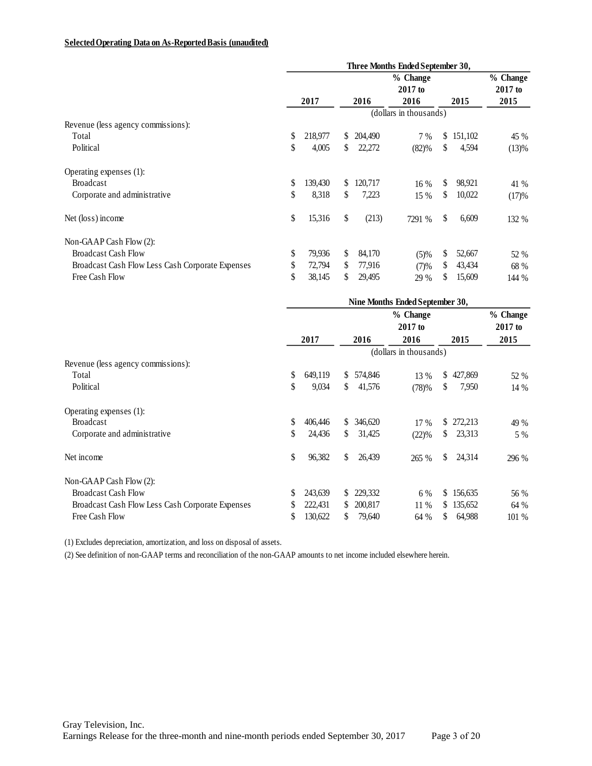### **Selected Operating Data on As-Reported Basis (unaudited)**

|                                                  | Three Months Ended September 30, |         |    |          |                        |    |         |           |
|--------------------------------------------------|----------------------------------|---------|----|----------|------------------------|----|---------|-----------|
|                                                  |                                  |         |    | % Change |                        |    |         | % Change  |
|                                                  |                                  |         |    |          | $2017$ to              |    |         | $2017$ to |
|                                                  |                                  | 2017    |    | 2016     | 2016                   |    | 2015    | 2015      |
|                                                  |                                  |         |    |          | (dollars in thousands) |    |         |           |
| Revenue (less agency commissions):               |                                  |         |    |          |                        |    |         |           |
| Total                                            | \$                               | 218,977 | S. | 204,490  | 7%                     | S. | 151,102 | 45 %      |
| Political                                        | \$                               | 4,005   | S. | 22,272   | (82)%                  | \$ | 4,594   | (13)%     |
| Operating expenses (1):                          |                                  |         |    |          |                        |    |         |           |
| <b>Broadcast</b>                                 | \$                               | 139,430 | S  | 120,717  | 16%                    | S. | 98,921  | 41 %      |
| Corporate and administrative                     | \$                               | 8,318   | \$ | 7,223    | 15 %                   | S. | 10,022  | (17)%     |
| Net (loss) income                                | \$                               | 15,316  | \$ | (213)    | 7291 %                 | \$ | 6,609   | 132 %     |
| Non-GAAP Cash Flow (2):                          |                                  |         |    |          |                        |    |         |           |
| <b>Broadcast Cash Flow</b>                       | \$                               | 79,936  | S  | 84,170   | (5)%                   | \$ | 52,667  | 52 %      |
| Broadcast Cash Flow Less Cash Corporate Expenses | \$                               | 72,794  | S  | 77,916   | (7)%                   | S  | 43,434  | 68 %      |
| Free Cash Flow                                   | \$                               | 38,145  | S  | 29,495   | 29 %                   | S  | 15,609  | 144 %     |

|                                                  | Nine Months Ended September 30, |         |    |                        |          |    |           |          |
|--------------------------------------------------|---------------------------------|---------|----|------------------------|----------|----|-----------|----------|
|                                                  |                                 |         |    |                        | % Change |    |           | % Change |
|                                                  |                                 |         |    |                        | 2017 to  |    |           | 2017 to  |
|                                                  |                                 | 2017    |    | 2016                   | 2016     |    | 2015      | 2015     |
|                                                  |                                 |         |    | (dollars in thousands) |          |    |           |          |
| Revenue (less agency commissions):               |                                 |         |    |                        |          |    |           |          |
| Total                                            | \$                              | 649,119 | S. | 574,846                | 13 %     |    | \$427,869 | 52 %     |
| Political                                        | \$                              | 9,034   | \$ | 41,576                 | (78)%    | S  | 7,950     | 14 %     |
| Operating expenses (1):                          |                                 |         |    |                        |          |    |           |          |
| <b>Broadcast</b>                                 | \$                              | 406,446 | S. | 346,620                | $17\%$   |    | \$272,213 | 49 %     |
| Corporate and administrative                     | \$                              | 24,436  | \$ | 31,425                 | (22)%    | \$ | 23,313    | 5 %      |
| Net income                                       | \$                              | 96,382  | \$ | 26,439                 | 265 %    | \$ | 24,314    | 296 %    |
| Non-GAAP Cash Flow (2):                          |                                 |         |    |                        |          |    |           |          |
| <b>Broadcast Cash Flow</b>                       | \$                              | 243,639 | S. | 229,332                | 6 %      | \$ | 156,635   | 56 %     |
| Broadcast Cash Flow Less Cash Corporate Expenses | S                               | 222,431 | S. | 200,817                | $11\%$   | \$ | 135,652   | 64 %     |
| Free Cash Flow                                   | S                               | 130,622 | S. | 79,640                 | 64 %     | S. | 64,988    | 101 %    |

(1) Excludes depreciation, amortization, and loss on disposal of assets.

(2) See definition of non-GAAP terms and reconciliation of the non-GAAP amounts to net income included elsewhere herein.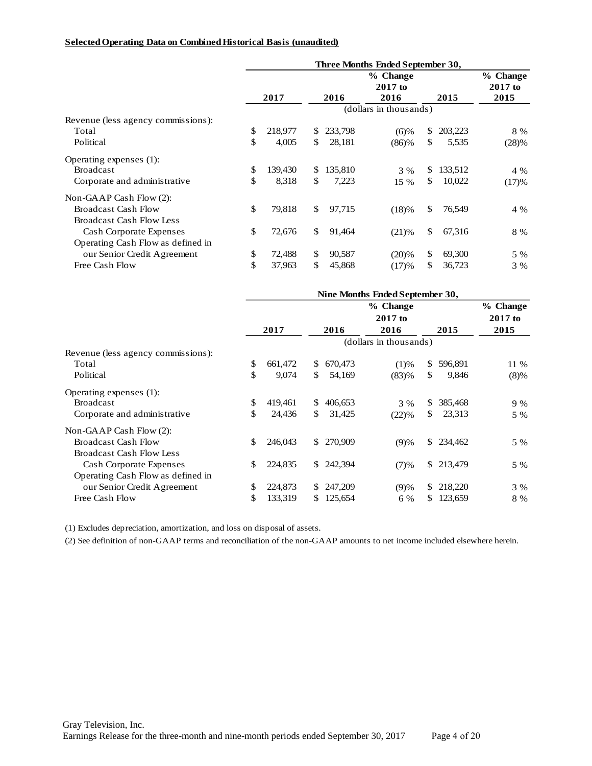#### **Selected Operating Data on Combined Historical Basis (unaudited)**

|                                    |               |               | Three Months Ended September 30, |              |         |                       |
|------------------------------------|---------------|---------------|----------------------------------|--------------|---------|-----------------------|
|                                    |               |               | % Change<br>$2017$ to            |              |         | % Change<br>$2017$ to |
|                                    | 2017          | 2016          | 2016                             |              | 2015    | 2015                  |
|                                    |               |               | (dollars in thousands)           |              |         |                       |
| Revenue (less agency commissions): |               |               |                                  |              |         |                       |
| Total                              | \$<br>218,977 | \$<br>233,798 | (6)%                             | \$           | 203,223 | 8 %                   |
| Political                          | \$<br>4,005   | \$<br>28,181  | (86)%                            | S.           | 5,535   | (28)%                 |
| Operating expenses (1):            |               |               |                                  |              |         |                       |
| <b>Broadcast</b>                   | \$<br>139,430 | \$<br>135,810 | 3 %                              | \$.          | 133,512 | 4 %                   |
| Corporate and administrative       | \$<br>8.318   | \$<br>7,223   | 15 %                             | \$.          | 10,022  | (17)%                 |
| Non-GAAP Cash Flow $(2)$ :         |               |               |                                  |              |         |                       |
| <b>Broadcast Cash Flow</b>         | \$<br>79,818  | \$<br>97,715  | (18)%                            | \$           | 76,549  | 4 %                   |
| Broadcast Cash Flow Less           |               |               |                                  |              |         |                       |
| <b>Cash Corporate Expenses</b>     | \$<br>72,676  | \$<br>91,464  | (21)%                            | $\mathbb{S}$ | 67,316  | 8 %                   |
| Operating Cash Flow as defined in  |               |               |                                  |              |         |                       |
| our Senior Credit Agreement        | \$<br>72,488  | \$<br>90,587  | (20)%                            | $\mathbb{S}$ | 69,300  | 5 %                   |
| Free Cash Flow                     | \$<br>37,963  | \$<br>45,868  | (17)%                            | \$           | 36,723  | 3 %                   |

|                                    |               |     |         | Nine Months Ended September 30, |     |         |           |
|------------------------------------|---------------|-----|---------|---------------------------------|-----|---------|-----------|
|                                    |               |     |         | % Change                        |     |         | % Change  |
|                                    |               |     |         | $2017$ to                       |     |         | $2017$ to |
|                                    | 2017          |     | 2016    | 2016                            |     | 2015    | 2015      |
|                                    |               |     |         | (dollars in thousands)          |     |         |           |
| Revenue (less agency commissions): |               |     |         |                                 |     |         |           |
| Total                              | \$<br>661,472 | \$  | 670,473 | (1)%                            | S.  | 596,891 | $11\%$    |
| Political                          | \$<br>9,074   | \$  | 54,169  | (83)%                           | \$  | 9,846   | $(8)\%$   |
| Operating expenses (1):            |               |     |         |                                 |     |         |           |
| <b>Broadcast</b>                   | \$<br>419,461 | S.  | 406,653 | 3 %                             | \$. | 385,468 | 9 %       |
| Corporate and administrative       | \$<br>24,436  | \$  | 31,425  | (22)%                           | \$. | 23,313  | 5 %       |
| Non-GAAP Cash Flow $(2)$ :         |               |     |         |                                 |     |         |           |
| <b>Broadcast Cash Flow</b>         | \$<br>246,043 | \$. | 270,909 | (9)%                            | \$. | 234,462 | 5 %       |
| <b>Broadcast Cash Flow Less</b>    |               |     |         |                                 |     |         |           |
| Cash Corporate Expenses            | \$<br>224,835 | \$. | 242,394 | (7)%                            | \$. | 213,479 | 5 %       |
| Operating Cash Flow as defined in  |               |     |         |                                 |     |         |           |
| our Senior Credit Agreement        | \$<br>224,873 | \$. | 247,209 | (9)%                            | S.  | 218,220 | 3 %       |
| Free Cash Flow                     | \$<br>133,319 | S.  | 125,654 | 6 %                             | S.  | 123,659 | 8 %       |

(1) Excludes depreciation, amortization, and loss on disposal of assets.

(2) See definition of non-GAAP terms and reconciliation of the non-GAAP amounts to net income included elsewhere herein.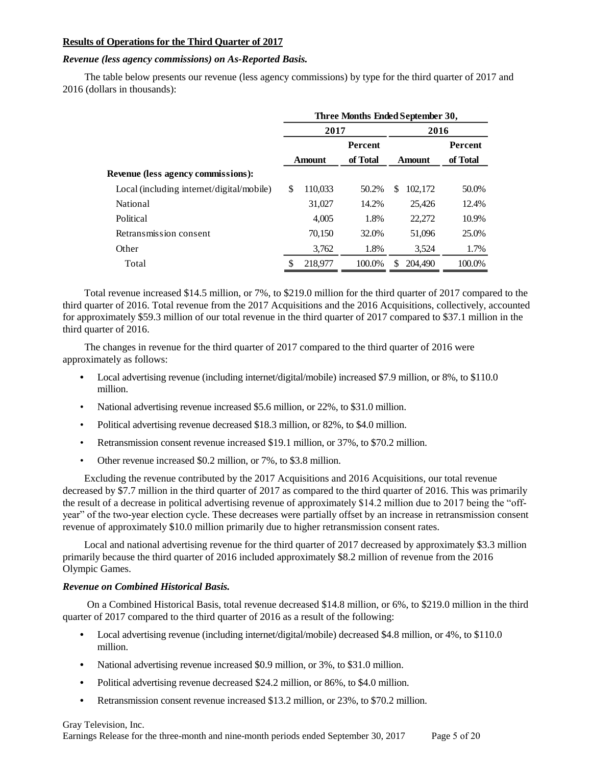### **Results of Operations for the Third Quarter of 2017**

### *Revenue (less agency commissions) on As-Reported Basis.*

The table below presents our revenue (less agency commissions) by type for the third quarter of 2017 and 2016 (dollars in thousands):

|                                           | Three Months Ended September 30, |               |          |      |               |                |  |
|-------------------------------------------|----------------------------------|---------------|----------|------|---------------|----------------|--|
|                                           | 2017                             |               |          | 2016 |               |                |  |
|                                           | Percent                          |               |          |      |               | <b>Percent</b> |  |
|                                           |                                  | <b>Amount</b> | of Total |      | <b>Amount</b> | of Total       |  |
| <b>Revenue (less agency commissions):</b> |                                  |               |          |      |               |                |  |
| Local (including internet/digital/mobile) | \$.                              | 110,033       | 50.2%    | \$   | 102,172       | 50.0%          |  |
| National                                  |                                  | 31,027        | 14.2%    |      | 25,426        | 12.4%          |  |
| Political                                 |                                  | 4.005         | 1.8%     |      | 22,272        | 10.9%          |  |
| Retransmission consent                    |                                  | 70,150        | 32.0%    |      | 51,096        | 25.0%          |  |
| Other                                     |                                  | 3,762         | 1.8%     |      | 3,524         | 1.7%           |  |
| Total                                     | \$                               | 218,977       | 100.0%   | \$.  | 204.490       | 100.0%         |  |

Total revenue increased \$14.5 million, or 7%, to \$219.0 million for the third quarter of 2017 compared to the third quarter of 2016. Total revenue from the 2017 Acquisitions and the 2016 Acquisitions, collectively, accounted for approximately \$59.3 million of our total revenue in the third quarter of 2017 compared to \$37.1 million in the third quarter of 2016.

The changes in revenue for the third quarter of 2017 compared to the third quarter of 2016 were approximately as follows:

- **•** Local advertising revenue (including internet/digital/mobile) increased \$7.9 million, or 8%, to \$110.0 million.
- National advertising revenue increased \$5.6 million, or 22%, to \$31.0 million.
- Political advertising revenue decreased \$18.3 million, or 82%, to \$4.0 million.
- Retransmission consent revenue increased \$19.1 million, or 37%, to \$70.2 million.
- Other revenue increased \$0.2 million, or 7%, to \$3.8 million.

Excluding the revenue contributed by the 2017 Acquisitions and 2016 Acquisitions, our total revenue decreased by \$7.7 million in the third quarter of 2017 as compared to the third quarter of 2016. This was primarily the result of a decrease in political advertising revenue of approximately \$14.2 million due to 2017 being the "offyear" of the two-year election cycle. These decreases were partially offset by an increase in retransmission consent revenue of approximately \$10.0 million primarily due to higher retransmission consent rates.

Local and national advertising revenue for the third quarter of 2017 decreased by approximately \$3.3 million primarily because the third quarter of 2016 included approximately \$8.2 million of revenue from the 2016 Olympic Games.

### *Revenue on Combined Historical Basis.*

On a Combined Historical Basis, total revenue decreased \$14.8 million, or 6%, to \$219.0 million in the third quarter of 2017 compared to the third quarter of 2016 as a result of the following:

- Local advertising revenue (including internet/digital/mobile) decreased \$4.8 million, or 4%, to \$110.0 million.
- **•** National advertising revenue increased \$0.9 million, or 3%, to \$31.0 million.
- **•** Political advertising revenue decreased \$24.2 million, or 86%, to \$4.0 million.
- **•** Retransmission consent revenue increased \$13.2 million, or 23%, to \$70.2 million.

Gray Television, Inc. Earnings Release for the three-month and nine-month periods ended September 30, 2017 Page 5 of 20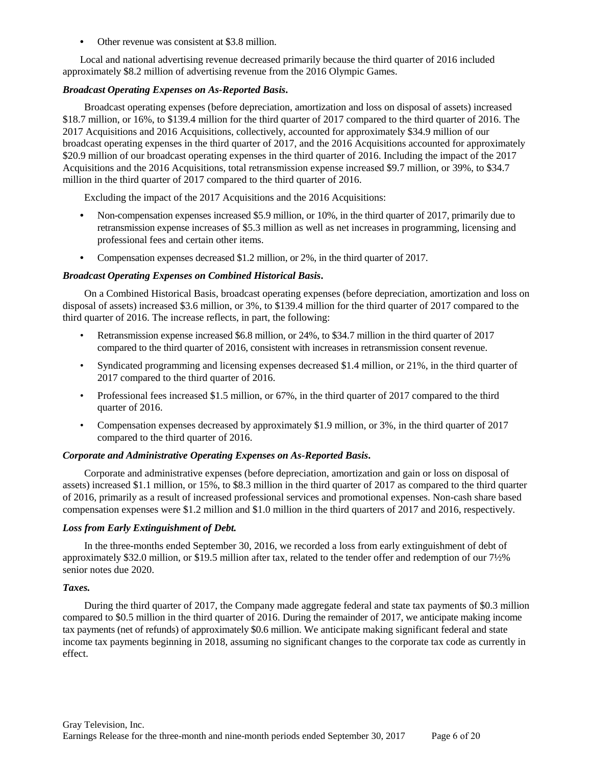**•** Other revenue was consistent at \$3.8 million.

Local and national advertising revenue decreased primarily because the third quarter of 2016 included approximately \$8.2 million of advertising revenue from the 2016 Olympic Games.

### *Broadcast Operating Expenses on As-Reported Basis***.**

Broadcast operating expenses (before depreciation, amortization and loss on disposal of assets) increased \$18.7 million, or 16%, to \$139.4 million for the third quarter of 2017 compared to the third quarter of 2016. The 2017 Acquisitions and 2016 Acquisitions, collectively, accounted for approximately \$34.9 million of our broadcast operating expenses in the third quarter of 2017, and the 2016 Acquisitions accounted for approximately \$20.9 million of our broadcast operating expenses in the third quarter of 2016. Including the impact of the 2017 Acquisitions and the 2016 Acquisitions, total retransmission expense increased \$9.7 million, or 39%, to \$34.7 million in the third quarter of 2017 compared to the third quarter of 2016.

Excluding the impact of the 2017 Acquisitions and the 2016 Acquisitions:

- **•** Non-compensation expenses increased \$5.9 million, or 10%, in the third quarter of 2017, primarily due to retransmission expense increases of \$5.3 million as well as net increases in programming, licensing and professional fees and certain other items.
- Compensation expenses decreased \$1.2 million, or 2%, in the third quarter of 2017.

### *Broadcast Operating Expenses on Combined Historical Basis***.**

On a Combined Historical Basis, broadcast operating expenses (before depreciation, amortization and loss on disposal of assets) increased \$3.6 million, or 3%, to \$139.4 million for the third quarter of 2017 compared to the third quarter of 2016. The increase reflects, in part, the following:

- Retransmission expense increased \$6.8 million, or 24%, to \$34.7 million in the third quarter of 2017 compared to the third quarter of 2016, consistent with increases in retransmission consent revenue.
- Syndicated programming and licensing expenses decreased \$1.4 million, or 21%, in the third quarter of 2017 compared to the third quarter of 2016.
- Professional fees increased \$1.5 million, or 67%, in the third quarter of 2017 compared to the third quarter of 2016.
- Compensation expenses decreased by approximately \$1.9 million, or 3%, in the third quarter of 2017 compared to the third quarter of 2016.

### *Corporate and Administrative Operating Expenses on As-Reported Basis***.**

Corporate and administrative expenses (before depreciation, amortization and gain or loss on disposal of assets) increased \$1.1 million, or 15%, to \$8.3 million in the third quarter of 2017 as compared to the third quarter of 2016, primarily as a result of increased professional services and promotional expenses. Non-cash share based compensation expenses were \$1.2 million and \$1.0 million in the third quarters of 2017 and 2016, respectively.

### *Loss from Early Extinguishment of Debt.*

In the three-months ended September 30, 2016, we recorded a loss from early extinguishment of debt of approximately \$32.0 million, or \$19.5 million after tax, related to the tender offer and redemption of our 7½% senior notes due 2020.

### *Taxes.*

During the third quarter of 2017, the Company made aggregate federal and state tax payments of \$0.3 million compared to \$0.5 million in the third quarter of 2016. During the remainder of 2017, we anticipate making income tax payments (net of refunds) of approximately \$0.6 million. We anticipate making significant federal and state income tax payments beginning in 2018, assuming no significant changes to the corporate tax code as currently in effect.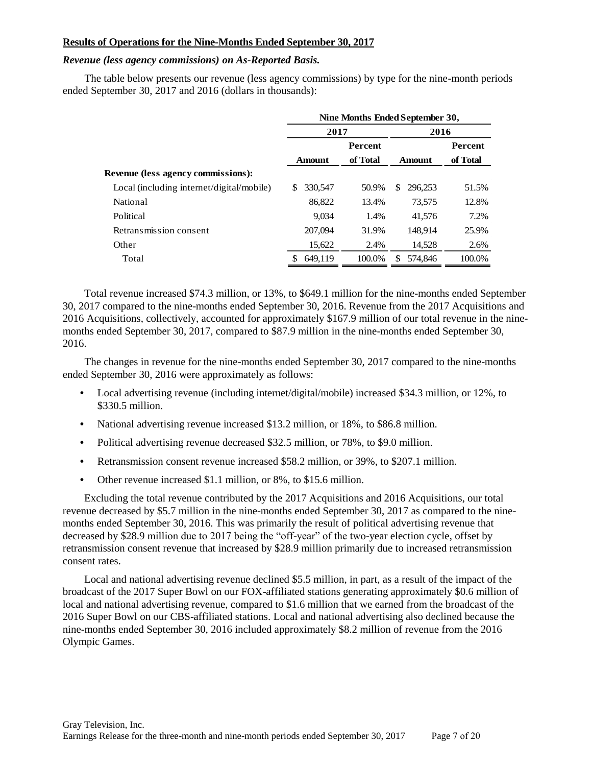## **Results of Operations for the Nine-Months Ended September 30, 2017**

### *Revenue (less agency commissions) on As-Reported Basis.*

The table below presents our revenue (less agency commissions) by type for the nine-month periods ended September 30, 2017 and 2016 (dollars in thousands):

|                                           | Nine Months Ended September 30, |                |               |                |  |  |  |  |
|-------------------------------------------|---------------------------------|----------------|---------------|----------------|--|--|--|--|
|                                           | 2017                            |                | 2016          |                |  |  |  |  |
|                                           |                                 | <b>Percent</b> |               | <b>Percent</b> |  |  |  |  |
|                                           | <b>Amount</b>                   | of Total       | <b>Amount</b> | of Total       |  |  |  |  |
| <b>Revenue (less agency commissions):</b> |                                 |                |               |                |  |  |  |  |
| Local (including internet/digital/mobile) | 330,547<br>\$                   | 50.9%          | \$<br>296.253 | 51.5%          |  |  |  |  |
| National                                  | 86,822                          | 13.4%          | 73.575        | 12.8%          |  |  |  |  |
| Political                                 | 9,034                           | 1.4%           | 41,576        | 7.2%           |  |  |  |  |
| Retransmission consent                    | 207,094                         | 31.9%          | 148.914       | 25.9%          |  |  |  |  |
| Other                                     | 15,622                          | 2.4%           | 14,528        | 2.6%           |  |  |  |  |
| Total                                     | 649.119                         | 100.0%         | 574,846<br>£. | 100.0%         |  |  |  |  |
|                                           |                                 |                |               |                |  |  |  |  |

Total revenue increased \$74.3 million, or 13%, to \$649.1 million for the nine-months ended September 30, 2017 compared to the nine-months ended September 30, 2016. Revenue from the 2017 Acquisitions and 2016 Acquisitions, collectively, accounted for approximately \$167.9 million of our total revenue in the ninemonths ended September 30, 2017, compared to \$87.9 million in the nine-months ended September 30, 2016.

The changes in revenue for the nine-months ended September 30, 2017 compared to the nine-months ended September 30, 2016 were approximately as follows:

- **•** Local advertising revenue (including internet/digital/mobile) increased \$34.3 million, or 12%, to \$330.5 million.
- **•** National advertising revenue increased \$13.2 million, or 18%, to \$86.8 million.
- **•** Political advertising revenue decreased \$32.5 million, or 78%, to \$9.0 million.
- **•** Retransmission consent revenue increased \$58.2 million, or 39%, to \$207.1 million.
- **•** Other revenue increased \$1.1 million, or 8%, to \$15.6 million.

Excluding the total revenue contributed by the 2017 Acquisitions and 2016 Acquisitions, our total revenue decreased by \$5.7 million in the nine-months ended September 30, 2017 as compared to the ninemonths ended September 30, 2016. This was primarily the result of political advertising revenue that decreased by \$28.9 million due to 2017 being the "off-year" of the two-year election cycle, offset by retransmission consent revenue that increased by \$28.9 million primarily due to increased retransmission consent rates.

Local and national advertising revenue declined \$5.5 million, in part, as a result of the impact of the broadcast of the 2017 Super Bowl on our FOX-affiliated stations generating approximately \$0.6 million of local and national advertising revenue, compared to \$1.6 million that we earned from the broadcast of the 2016 Super Bowl on our CBS-affiliated stations. Local and national advertising also declined because the nine-months ended September 30, 2016 included approximately \$8.2 million of revenue from the 2016 Olympic Games.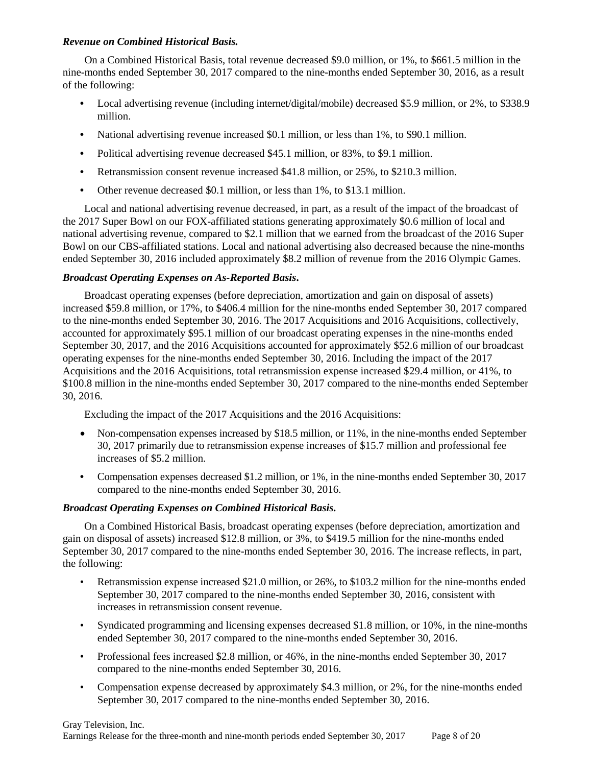## *Revenue on Combined Historical Basis.*

On a Combined Historical Basis, total revenue decreased \$9.0 million, or 1%, to \$661.5 million in the nine-months ended September 30, 2017 compared to the nine-months ended September 30, 2016, as a result of the following:

- Local advertising revenue (including internet/digital/mobile) decreased \$5.9 million, or 2%, to \$338.9 million.
- **•** National advertising revenue increased \$0.1 million, or less than 1%, to \$90.1 million.
- **•** Political advertising revenue decreased \$45.1 million, or 83%, to \$9.1 million.
- **•** Retransmission consent revenue increased \$41.8 million, or 25%, to \$210.3 million.
- **•** Other revenue decreased \$0.1 million, or less than 1%, to \$13.1 million.

Local and national advertising revenue decreased, in part, as a result of the impact of the broadcast of the 2017 Super Bowl on our FOX-affiliated stations generating approximately \$0.6 million of local and national advertising revenue, compared to \$2.1 million that we earned from the broadcast of the 2016 Super Bowl on our CBS-affiliated stations. Local and national advertising also decreased because the nine-months ended September 30, 2016 included approximately \$8.2 million of revenue from the 2016 Olympic Games.

## *Broadcast Operating Expenses on As-Reported Basis***.**

Broadcast operating expenses (before depreciation, amortization and gain on disposal of assets) increased \$59.8 million, or 17%, to \$406.4 million for the nine-months ended September 30, 2017 compared to the nine-months ended September 30, 2016. The 2017 Acquisitions and 2016 Acquisitions, collectively, accounted for approximately \$95.1 million of our broadcast operating expenses in the nine-months ended September 30, 2017, and the 2016 Acquisitions accounted for approximately \$52.6 million of our broadcast operating expenses for the nine-months ended September 30, 2016. Including the impact of the 2017 Acquisitions and the 2016 Acquisitions, total retransmission expense increased \$29.4 million, or 41%, to \$100.8 million in the nine-months ended September 30, 2017 compared to the nine-months ended September 30, 2016.

Excluding the impact of the 2017 Acquisitions and the 2016 Acquisitions:

- Non-compensation expenses increased by \$18.5 million, or 11%, in the nine-months ended September 30, 2017 primarily due to retransmission expense increases of \$15.7 million and professional fee increases of \$5.2 million.
- Compensation expenses decreased \$1.2 million, or 1%, in the nine-months ended September 30, 2017 compared to the nine-months ended September 30, 2016.

# *Broadcast Operating Expenses on Combined Historical Basis.*

On a Combined Historical Basis, broadcast operating expenses (before depreciation, amortization and gain on disposal of assets) increased \$12.8 million, or 3%, to \$419.5 million for the nine-months ended September 30, 2017 compared to the nine-months ended September 30, 2016. The increase reflects, in part, the following:

- Retransmission expense increased \$21.0 million, or 26%, to \$103.2 million for the nine-months ended September 30, 2017 compared to the nine-months ended September 30, 2016, consistent with increases in retransmission consent revenue.
- Syndicated programming and licensing expenses decreased \$1.8 million, or 10%, in the nine-months ended September 30, 2017 compared to the nine-months ended September 30, 2016.
- Professional fees increased \$2.8 million, or 46%, in the nine-months ended September 30, 2017 compared to the nine-months ended September 30, 2016.
- Compensation expense decreased by approximately \$4.3 million, or 2%, for the nine-months ended September 30, 2017 compared to the nine-months ended September 30, 2016.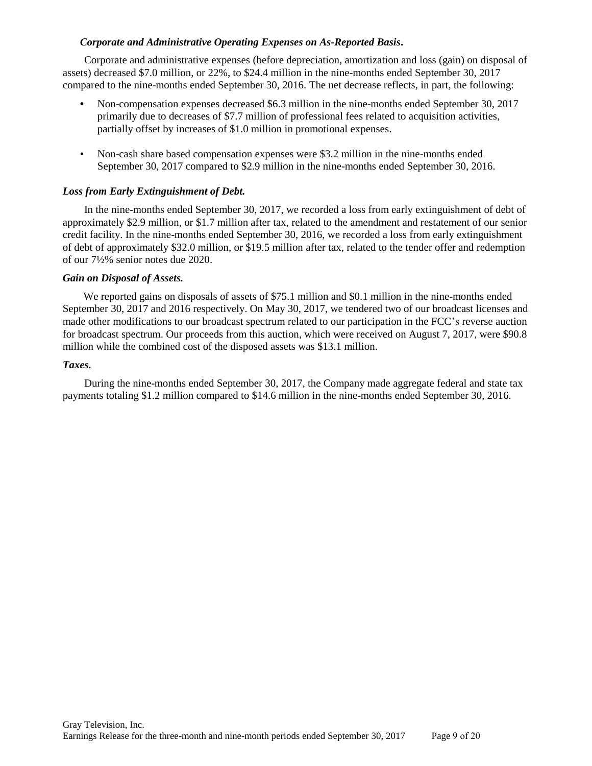## *Corporate and Administrative Operating Expenses on As-Reported Basis***.**

Corporate and administrative expenses (before depreciation, amortization and loss (gain) on disposal of assets) decreased \$7.0 million, or 22%, to \$24.4 million in the nine-months ended September 30, 2017 compared to the nine-months ended September 30, 2016. The net decrease reflects, in part, the following:

- **•** Non-compensation expenses decreased \$6.3 million in the nine-months ended September 30, 2017 primarily due to decreases of \$7.7 million of professional fees related to acquisition activities, partially offset by increases of \$1.0 million in promotional expenses.
- Non-cash share based compensation expenses were \$3.2 million in the nine-months ended September 30, 2017 compared to \$2.9 million in the nine-months ended September 30, 2016.

### *Loss from Early Extinguishment of Debt.*

In the nine-months ended September 30, 2017, we recorded a loss from early extinguishment of debt of approximately \$2.9 million, or \$1.7 million after tax, related to the amendment and restatement of our senior credit facility. In the nine-months ended September 30, 2016, we recorded a loss from early extinguishment of debt of approximately \$32.0 million, or \$19.5 million after tax, related to the tender offer and redemption of our 7½% senior notes due 2020.

### *Gain on Disposal of Assets.*

We reported gains on disposals of assets of \$75.1 million and \$0.1 million in the nine-months ended September 30, 2017 and 2016 respectively. On May 30, 2017, we tendered two of our broadcast licenses and made other modifications to our broadcast spectrum related to our participation in the FCC's reverse auction for broadcast spectrum. Our proceeds from this auction, which were received on August 7, 2017, were \$90.8 million while the combined cost of the disposed assets was \$13.1 million.

#### *Taxes.*

During the nine-months ended September 30, 2017, the Company made aggregate federal and state tax payments totaling \$1.2 million compared to \$14.6 million in the nine-months ended September 30, 2016.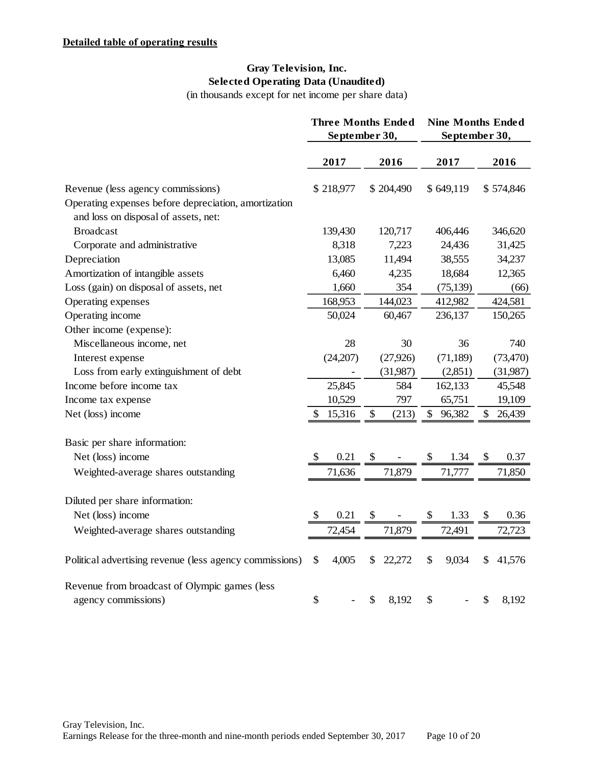# **Gray Television, Inc. Selected Operating Data (Unaudited)**

(in thousands except for net income per share data)

|                                                                                              |              | <b>Three Months Ended</b><br>September 30, | <b>Nine Months Ended</b><br>September 30, |                       |
|----------------------------------------------------------------------------------------------|--------------|--------------------------------------------|-------------------------------------------|-----------------------|
|                                                                                              | 2017         | 2016                                       | 2017                                      | 2016                  |
| Revenue (less agency commissions)                                                            | \$218,977    | \$204,490                                  | \$649,119                                 | \$574,846             |
| Operating expenses before depreciation, amortization<br>and loss on disposal of assets, net: |              |                                            |                                           |                       |
| <b>Broadcast</b>                                                                             | 139,430      | 120,717                                    | 406,446                                   | 346,620               |
| Corporate and administrative                                                                 | 8,318        | 7,223                                      | 24,436                                    | 31,425                |
| Depreciation                                                                                 | 13,085       | 11,494                                     | 38,555                                    | 34,237                |
| Amortization of intangible assets                                                            | 6,460        | 4,235                                      | 18,684                                    | 12,365                |
| Loss (gain) on disposal of assets, net                                                       | 1,660        | 354                                        | (75, 139)                                 | (66)                  |
| Operating expenses                                                                           | 168,953      | 144,023                                    | 412,982                                   | 424,581               |
| Operating income                                                                             | 50,024       | 60,467                                     | 236,137                                   | 150,265               |
| Other income (expense):                                                                      |              |                                            |                                           |                       |
| Miscellaneous income, net                                                                    | 28           | 30                                         | 36                                        | 740                   |
| Interest expense                                                                             | (24,207)     | (27, 926)                                  | (71, 189)                                 | (73, 470)             |
| Loss from early extinguishment of debt                                                       |              | (31,987)                                   | (2,851)                                   | (31,987)              |
| Income before income tax                                                                     | 25,845       | 584                                        | 162,133                                   | 45,548                |
| Income tax expense                                                                           | 10,529       | 797                                        | 65,751                                    | 19,109                |
| Net (loss) income                                                                            | \$<br>15,316 | \$<br>(213)                                | \$<br>96,382                              | \$<br>26,439          |
| Basic per share information:                                                                 |              |                                            |                                           |                       |
| Net (loss) income                                                                            | \$<br>0.21   | <sup>S</sup>                               | $\mathcal{S}$<br>1.34                     | $\mathcal{S}$<br>0.37 |
| Weighted-average shares outstanding                                                          | 71,636       | 71,879                                     | 71,777                                    | 71,850                |
| Diluted per share information:                                                               |              |                                            |                                           |                       |
| Net (loss) income                                                                            | 0.21<br>\$   |                                            | 1.33<br>\$                                | 0.36                  |
| Weighted-average shares outstanding                                                          | 72,454       | 71,879                                     | 72,491                                    | 72,723                |
|                                                                                              |              |                                            |                                           |                       |
| Political advertising revenue (less agency commissions)                                      | \$<br>4,005  | S<br>22,272                                | \$<br>9,034                               | \$<br>41,576          |
| Revenue from broadcast of Olympic games (less                                                |              |                                            |                                           |                       |
| agency commissions)                                                                          | \$           | \$<br>8,192                                | $\$\,$                                    | \$<br>8,192           |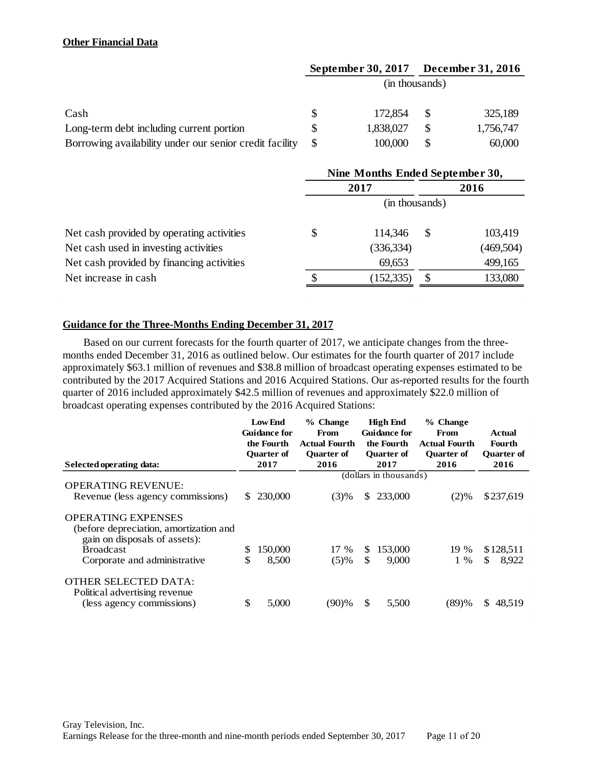# **Other Financial Data**

|                                                         |   | September 30, 2017 | <b>December 31, 2016</b> |
|---------------------------------------------------------|---|--------------------|--------------------------|
|                                                         |   | (in thousands)     |                          |
| Cash                                                    | S | 172,854            | 325,189                  |
| Long-term debt including current portion                |   | 1,838,027          | 1,756,747                |
| Borrowing availability under our senior credit facility |   | 100,000            | 60,000                   |

|                                           | Nine Months Ended September 30, |                |    |           |  |  |
|-------------------------------------------|---------------------------------|----------------|----|-----------|--|--|
|                                           | 2017                            |                |    | 2016      |  |  |
|                                           |                                 | (in thousands) |    |           |  |  |
| Net cash provided by operating activities | \$                              | 114,346        | S  | 103,419   |  |  |
| Net cash used in investing activities     |                                 | (336, 334)     |    | (469,504) |  |  |
| Net cash provided by financing activities |                                 | 69,653         |    | 499,165   |  |  |
| Net increase in cash                      |                                 | (152, 335)     | -S | 133,080   |  |  |

# **Guidance for the Three-Months Ending December 31, 2017**

Based on our current forecasts for the fourth quarter of 2017, we anticipate changes from the threemonths ended December 31, 2016 as outlined below. Our estimates for the fourth quarter of 2017 include approximately \$63.1 million of revenues and \$38.8 million of broadcast operating expenses estimated to be contributed by the 2017 Acquired Stations and 2016 Acquired Stations. Our as-reported results for the fourth quarter of 2016 included approximately \$42.5 million of revenues and approximately \$22.0 million of broadcast operating expenses contributed by the 2016 Acquired Stations:

|                                                                                                      | <b>Low End</b>                    | % Change                     | <b>High End</b>            | % Change                     |                   |
|------------------------------------------------------------------------------------------------------|-----------------------------------|------------------------------|----------------------------|------------------------------|-------------------|
|                                                                                                      | <b>Guidance for</b><br>the Fourth | From<br><b>Actual Fourth</b> | Guidance for<br>the Fourth | From<br><b>Actual Fourth</b> | Actual<br>Fourth  |
|                                                                                                      | <b>Ouarter of</b>                 | <b>Ouarter of</b>            | <b>Ouarter of</b>          | <b>Ouarter of</b>            | <b>Ouarter of</b> |
| Selected operating data:                                                                             | 2017                              | 2016                         | 2017                       | 2016                         | 2016              |
|                                                                                                      |                                   |                              | (dollars in thousands)     |                              |                   |
| <b>OPERATING REVENUE:</b>                                                                            |                                   |                              |                            |                              |                   |
| Revenue (less agency commissions)                                                                    | 230,000<br>S.                     | (3)%                         | 233,000<br>S.              | $(2)\%$                      | \$237,619         |
| <b>OPERATING EXPENSES</b><br>(before depreciation, amortization and<br>gain on disposals of assets): |                                   |                              |                            |                              |                   |
| <b>Broadcast</b>                                                                                     | \$<br>150,000                     | 17 %                         | 153,000<br>\$.             | 19 %                         | \$128,511         |
| Corporate and administrative                                                                         | \$<br>8,500                       | (5)%                         | \$<br>9,000                | $1\%$                        | \$<br>8.922       |
| <b>OTHER SELECTED DATA:</b><br>Political advertising revenue<br>(less agency commissions)            | \$<br>5,000                       | (90)%                        | \$<br>5.500                | (89)%                        | S.<br>48.519      |
|                                                                                                      |                                   |                              |                            |                              |                   |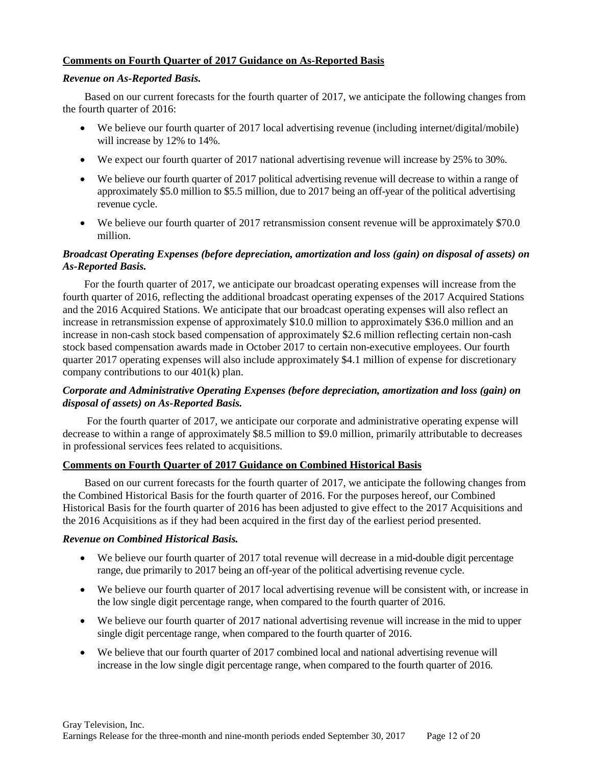## **Comments on Fourth Quarter of 2017 Guidance on As-Reported Basis**

### *Revenue on As-Reported Basis.*

Based on our current forecasts for the fourth quarter of 2017, we anticipate the following changes from the fourth quarter of 2016:

- We believe our fourth quarter of 2017 local advertising revenue (including internet/digital/mobile) will increase by 12% to 14%.
- We expect our fourth quarter of 2017 national advertising revenue will increase by 25% to 30%.
- We believe our fourth quarter of 2017 political advertising revenue will decrease to within a range of approximately \$5.0 million to \$5.5 million, due to 2017 being an off-year of the political advertising revenue cycle.
- We believe our fourth quarter of 2017 retransmission consent revenue will be approximately \$70.0 million.

## *Broadcast Operating Expenses (before depreciation, amortization and loss (gain) on disposal of assets) on As-Reported Basis.*

For the fourth quarter of 2017, we anticipate our broadcast operating expenses will increase from the fourth quarter of 2016, reflecting the additional broadcast operating expenses of the 2017 Acquired Stations and the 2016 Acquired Stations. We anticipate that our broadcast operating expenses will also reflect an increase in retransmission expense of approximately \$10.0 million to approximately \$36.0 million and an increase in non-cash stock based compensation of approximately \$2.6 million reflecting certain non-cash stock based compensation awards made in October 2017 to certain non-executive employees. Our fourth quarter 2017 operating expenses will also include approximately \$4.1 million of expense for discretionary company contributions to our 401(k) plan.

# *Corporate and Administrative Operating Expenses (before depreciation, amortization and loss (gain) on disposal of assets) on As-Reported Basis.*

For the fourth quarter of 2017, we anticipate our corporate and administrative operating expense will decrease to within a range of approximately \$8.5 million to \$9.0 million, primarily attributable to decreases in professional services fees related to acquisitions.

# **Comments on Fourth Quarter of 2017 Guidance on Combined Historical Basis**

Based on our current forecasts for the fourth quarter of 2017, we anticipate the following changes from the Combined Historical Basis for the fourth quarter of 2016. For the purposes hereof, our Combined Historical Basis for the fourth quarter of 2016 has been adjusted to give effect to the 2017 Acquisitions and the 2016 Acquisitions as if they had been acquired in the first day of the earliest period presented.

## *Revenue on Combined Historical Basis.*

- We believe our fourth quarter of 2017 total revenue will decrease in a mid-double digit percentage range, due primarily to 2017 being an off-year of the political advertising revenue cycle.
- We believe our fourth quarter of 2017 local advertising revenue will be consistent with, or increase in the low single digit percentage range, when compared to the fourth quarter of 2016.
- We believe our fourth quarter of 2017 national advertising revenue will increase in the mid to upper single digit percentage range, when compared to the fourth quarter of 2016.
- We believe that our fourth quarter of 2017 combined local and national advertising revenue will increase in the low single digit percentage range, when compared to the fourth quarter of 2016.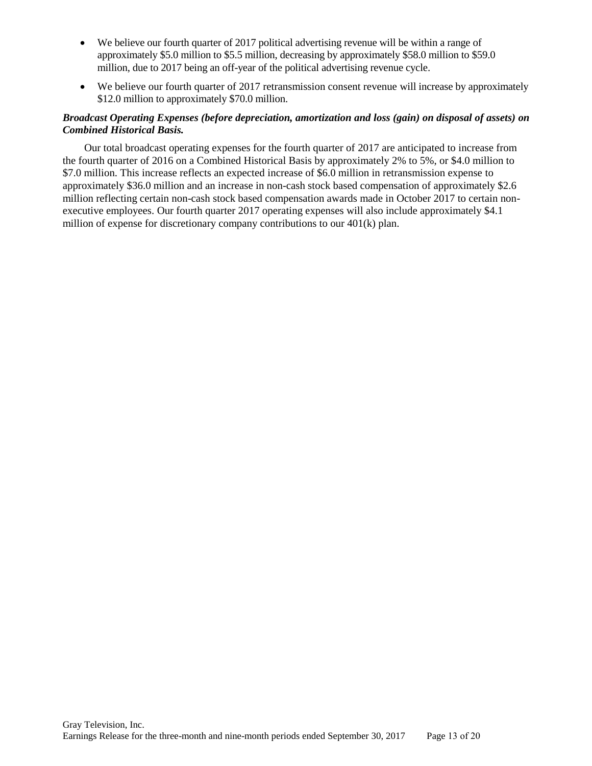- We believe our fourth quarter of 2017 political advertising revenue will be within a range of approximately \$5.0 million to \$5.5 million, decreasing by approximately \$58.0 million to \$59.0 million, due to 2017 being an off-year of the political advertising revenue cycle.
- We believe our fourth quarter of 2017 retransmission consent revenue will increase by approximately \$12.0 million to approximately \$70.0 million.

## *Broadcast Operating Expenses (before depreciation, amortization and loss (gain) on disposal of assets) on Combined Historical Basis.*

Our total broadcast operating expenses for the fourth quarter of 2017 are anticipated to increase from the fourth quarter of 2016 on a Combined Historical Basis by approximately 2% to 5%, or \$4.0 million to \$7.0 million. This increase reflects an expected increase of \$6.0 million in retransmission expense to approximately \$36.0 million and an increase in non-cash stock based compensation of approximately \$2.6 million reflecting certain non-cash stock based compensation awards made in October 2017 to certain nonexecutive employees. Our fourth quarter 2017 operating expenses will also include approximately \$4.1 million of expense for discretionary company contributions to our 401(k) plan.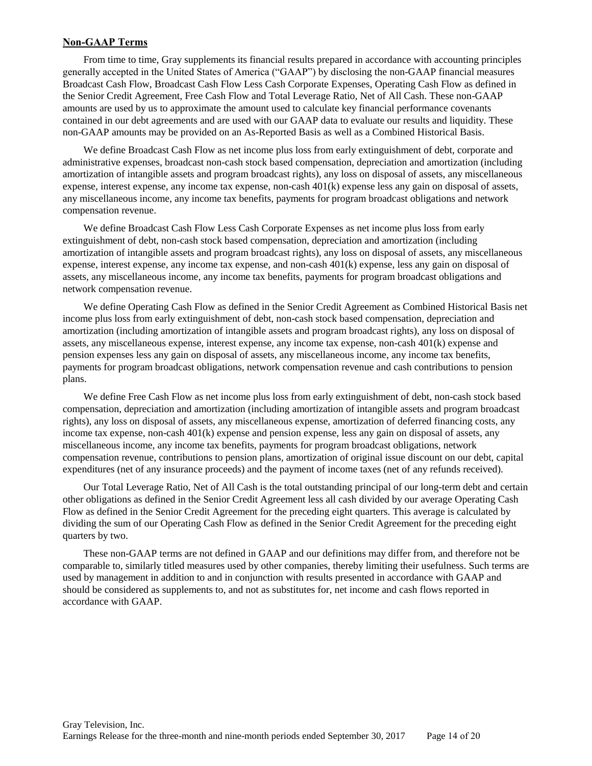### **Non-GAAP Terms**

From time to time, Gray supplements its financial results prepared in accordance with accounting principles generally accepted in the United States of America ("GAAP") by disclosing the non-GAAP financial measures Broadcast Cash Flow, Broadcast Cash Flow Less Cash Corporate Expenses, Operating Cash Flow as defined in the Senior Credit Agreement, Free Cash Flow and Total Leverage Ratio, Net of All Cash. These non-GAAP amounts are used by us to approximate the amount used to calculate key financial performance covenants contained in our debt agreements and are used with our GAAP data to evaluate our results and liquidity. These non-GAAP amounts may be provided on an As-Reported Basis as well as a Combined Historical Basis.

We define Broadcast Cash Flow as net income plus loss from early extinguishment of debt, corporate and administrative expenses, broadcast non-cash stock based compensation, depreciation and amortization (including amortization of intangible assets and program broadcast rights), any loss on disposal of assets, any miscellaneous expense, interest expense, any income tax expense, non-cash 401(k) expense less any gain on disposal of assets, any miscellaneous income, any income tax benefits, payments for program broadcast obligations and network compensation revenue.

We define Broadcast Cash Flow Less Cash Corporate Expenses as net income plus loss from early extinguishment of debt, non-cash stock based compensation, depreciation and amortization (including amortization of intangible assets and program broadcast rights), any loss on disposal of assets, any miscellaneous expense, interest expense, any income tax expense, and non-cash 401(k) expense, less any gain on disposal of assets, any miscellaneous income, any income tax benefits, payments for program broadcast obligations and network compensation revenue.

We define Operating Cash Flow as defined in the Senior Credit Agreement as Combined Historical Basis net income plus loss from early extinguishment of debt, non-cash stock based compensation, depreciation and amortization (including amortization of intangible assets and program broadcast rights), any loss on disposal of assets, any miscellaneous expense, interest expense, any income tax expense, non-cash 401(k) expense and pension expenses less any gain on disposal of assets, any miscellaneous income, any income tax benefits, payments for program broadcast obligations, network compensation revenue and cash contributions to pension plans.

We define Free Cash Flow as net income plus loss from early extinguishment of debt, non-cash stock based compensation, depreciation and amortization (including amortization of intangible assets and program broadcast rights), any loss on disposal of assets, any miscellaneous expense, amortization of deferred financing costs, any income tax expense, non-cash 401(k) expense and pension expense, less any gain on disposal of assets, any miscellaneous income, any income tax benefits, payments for program broadcast obligations, network compensation revenue, contributions to pension plans, amortization of original issue discount on our debt, capital expenditures (net of any insurance proceeds) and the payment of income taxes (net of any refunds received).

Our Total Leverage Ratio, Net of All Cash is the total outstanding principal of our long-term debt and certain other obligations as defined in the Senior Credit Agreement less all cash divided by our average Operating Cash Flow as defined in the Senior Credit Agreement for the preceding eight quarters. This average is calculated by dividing the sum of our Operating Cash Flow as defined in the Senior Credit Agreement for the preceding eight quarters by two.

These non-GAAP terms are not defined in GAAP and our definitions may differ from, and therefore not be comparable to, similarly titled measures used by other companies, thereby limiting their usefulness. Such terms are used by management in addition to and in conjunction with results presented in accordance with GAAP and should be considered as supplements to, and not as substitutes for, net income and cash flows reported in accordance with GAAP.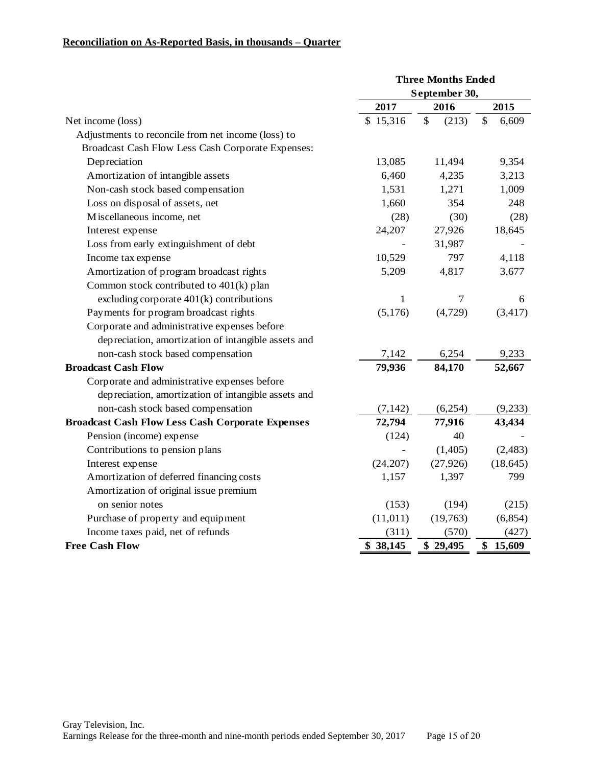### **Reconciliation on As-Reported Basis, in thousands – Quarter**

|                                                         |               | <b>Three Months Ended</b> |              |
|---------------------------------------------------------|---------------|---------------------------|--------------|
|                                                         | September 30, |                           |              |
|                                                         | 2017          | 2016                      | 2015         |
| Net income (loss)                                       | \$15,316      | \$<br>(213)               | \$<br>6,609  |
| Adjustments to reconcile from net income (loss) to      |               |                           |              |
| Broadcast Cash Flow Less Cash Corporate Expenses:       |               |                           |              |
| Depreciation                                            | 13,085        | 11,494                    | 9,354        |
| Amortization of intangible assets                       | 6,460         | 4,235                     | 3,213        |
| Non-cash stock based compensation                       | 1,531         | 1,271                     | 1,009        |
| Loss on disposal of assets, net                         | 1,660         | 354                       | 248          |
| Miscellaneous income, net                               | (28)          | (30)                      | (28)         |
| Interest expense                                        | 24,207        | 27,926                    | 18,645       |
| Loss from early extinguishment of debt                  |               | 31,987                    |              |
| Income tax expense                                      | 10,529        | 797                       | 4,118        |
| Amortization of program broadcast rights                | 5,209         | 4,817                     | 3,677        |
| Common stock contributed to 401(k) plan                 |               |                           |              |
| excluding corporate 401(k) contributions                | $\mathbf{1}$  | $\tau$                    | 6            |
| Payments for program broadcast rights                   | (5,176)       | (4,729)                   | (3, 417)     |
| Corporate and administrative expenses before            |               |                           |              |
| depreciation, amortization of intangible assets and     |               |                           |              |
| non-cash stock based compensation                       | 7,142         | 6,254                     | 9,233        |
| <b>Broadcast Cash Flow</b>                              | 79,936        | 84,170                    | 52,667       |
| Corporate and administrative expenses before            |               |                           |              |
| depreciation, amortization of intangible assets and     |               |                           |              |
| non-cash stock based compensation                       | (7, 142)      | (6,254)                   | (9,233)      |
| <b>Broadcast Cash Flow Less Cash Corporate Expenses</b> | 72,794        | 77,916                    | 43,434       |
| Pension (income) expense                                | (124)         | 40                        |              |
| Contributions to pension plans                          |               | (1,405)                   | (2, 483)     |
| Interest expense                                        | (24,207)      | (27, 926)                 | (18, 645)    |
| Amortization of deferred financing costs                | 1,157         | 1,397                     | 799          |
| Amortization of original issue premium                  |               |                           |              |
| on senior notes                                         | (153)         | (194)                     | (215)        |
| Purchase of property and equipment                      | (11, 011)     | (19,763)                  | (6,854)      |
| Income taxes paid, net of refunds                       | (311)         | (570)                     | (427)        |
| <b>Free Cash Flow</b>                                   | \$38,145      | \$29,495                  | \$<br>15,609 |
|                                                         |               |                           |              |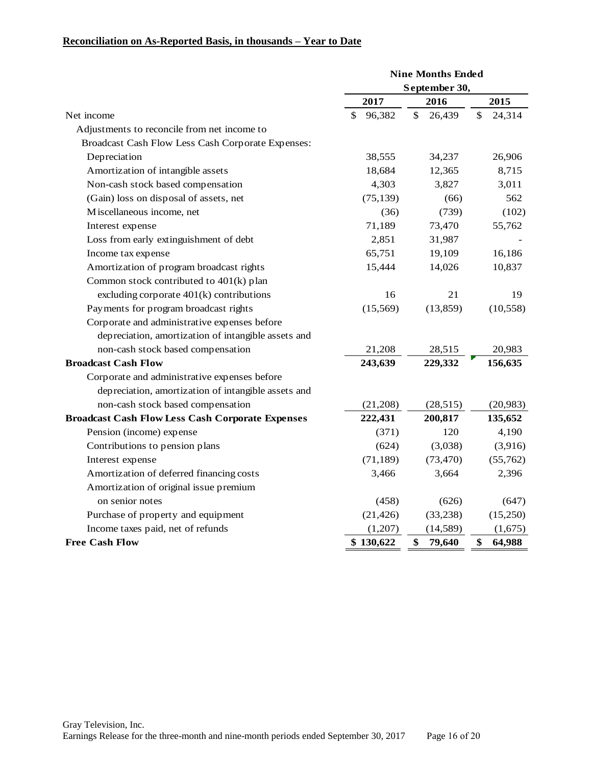# **Reconciliation on As-Reported Basis, in thousands – Year to Date**

|                                                         |               | <b>Nine Months Ended</b> |              |  |  |
|---------------------------------------------------------|---------------|--------------------------|--------------|--|--|
|                                                         | September 30, |                          |              |  |  |
|                                                         | 2017          | 2016                     | 2015         |  |  |
| Net income                                              | \$<br>96,382  | \$<br>26,439             | \$<br>24,314 |  |  |
| Adjustments to reconcile from net income to             |               |                          |              |  |  |
| Broadcast Cash Flow Less Cash Corporate Expenses:       |               |                          |              |  |  |
| Depreciation                                            | 38,555        | 34,237                   | 26,906       |  |  |
| Amortization of intangible assets                       | 18,684        | 12,365                   | 8,715        |  |  |
| Non-cash stock based compensation                       | 4,303         | 3,827                    | 3,011        |  |  |
| (Gain) loss on disposal of assets, net                  | (75, 139)     | (66)                     | 562          |  |  |
| Miscellaneous income, net                               | (36)          | (739)                    | (102)        |  |  |
| Interest expense                                        | 71,189        | 73,470                   | 55,762       |  |  |
| Loss from early extinguishment of debt                  | 2,851         | 31,987                   |              |  |  |
| Income tax expense                                      | 65,751        | 19,109                   | 16,186       |  |  |
| Amortization of program broadcast rights                | 15,444        | 14,026                   | 10,837       |  |  |
| Common stock contributed to 401(k) plan                 |               |                          |              |  |  |
| excluding corporate $401(k)$ contributions              | 16            | 21                       | 19           |  |  |
| Payments for program broadcast rights                   | (15, 569)     | (13, 859)                | (10, 558)    |  |  |
| Corporate and administrative expenses before            |               |                          |              |  |  |
| depreciation, amortization of intangible assets and     |               |                          |              |  |  |
| non-cash stock based compensation                       | 21,208        | 28,515                   | 20,983       |  |  |
| <b>Broadcast Cash Flow</b>                              | 243,639       | 229,332                  | 156,635      |  |  |
| Corporate and administrative expenses before            |               |                          |              |  |  |
| depreciation, amortization of intangible assets and     |               |                          |              |  |  |
| non-cash stock based compensation                       | (21, 208)     | (28, 515)                | (20, 983)    |  |  |
| <b>Broadcast Cash Flow Less Cash Corporate Expenses</b> | 222,431       | 200,817                  | 135,652      |  |  |
| Pension (income) expense                                | (371)         | 120                      | 4,190        |  |  |
| Contributions to pension plans                          | (624)         | (3,038)                  | (3,916)      |  |  |
| Interest expense                                        | (71, 189)     | (73, 470)                | (55,762)     |  |  |
| Amortization of deferred financing costs                | 3,466         | 3,664                    | 2,396        |  |  |
| Amortization of original issue premium                  |               |                          |              |  |  |
| on senior notes                                         | (458)         | (626)                    | (647)        |  |  |
| Purchase of property and equipment                      | (21, 426)     | (33, 238)                | (15,250)     |  |  |
| Income taxes paid, net of refunds                       | (1,207)       | (14, 589)                | (1,675)      |  |  |
| <b>Free Cash Flow</b>                                   | \$130,622     | \$<br>79,640             | \$<br>64,988 |  |  |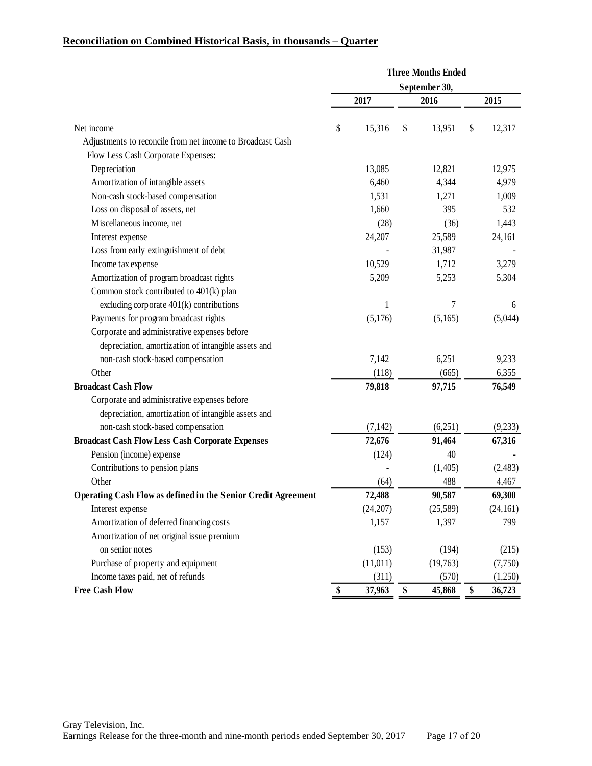# **Reconciliation on Combined Historical Basis, in thousands – Quarter**

|                                                               | <b>Three Months Ended</b><br>September 30, |           |    |          |    |           |
|---------------------------------------------------------------|--------------------------------------------|-----------|----|----------|----|-----------|
|                                                               |                                            |           |    |          |    |           |
|                                                               |                                            | 2017      |    | 2016     |    | 2015      |
| Net income                                                    | \$                                         | 15,316    | \$ | 13,951   | \$ | 12,317    |
| Adjustments to reconcile from net income to Broadcast Cash    |                                            |           |    |          |    |           |
| Flow Less Cash Corporate Expenses:                            |                                            |           |    |          |    |           |
| Depreciation                                                  |                                            | 13,085    |    | 12,821   |    | 12,975    |
| Amortization of intangible assets                             |                                            | 6,460     |    | 4,344    |    | 4,979     |
| Non-cash stock-based compensation                             |                                            | 1,531     |    | 1,271    |    | 1,009     |
| Loss on disposal of assets, net                               |                                            | 1,660     |    | 395      |    | 532       |
| Miscellaneous income, net                                     |                                            | (28)      |    | (36)     |    | 1,443     |
| Interest expense                                              |                                            | 24,207    |    | 25,589   |    | 24,161    |
| Loss from early extinguishment of debt                        |                                            |           |    | 31,987   |    |           |
| Income tax expense                                            |                                            | 10,529    |    | 1,712    |    | 3,279     |
| Amortization of program broadcast rights                      |                                            | 5,209     |    | 5,253    |    | 5,304     |
| Common stock contributed to 401(k) plan                       |                                            |           |    |          |    |           |
| excluding corporate 401(k) contributions                      |                                            | 1         |    | 7        |    | 6         |
| Payments for program broadcast rights                         |                                            | (5,176)   |    | (5,165)  |    | (5,044)   |
| Corporate and administrative expenses before                  |                                            |           |    |          |    |           |
| depreciation, amortization of intangible assets and           |                                            |           |    |          |    |           |
| non-cash stock-based compensation                             |                                            | 7,142     |    | 6,251    |    | 9,233     |
| Other                                                         |                                            | (118)     |    | (665)    |    | 6,355     |
| <b>Broadcast Cash Flow</b>                                    |                                            | 79,818    |    | 97,715   |    | 76,549    |
| Corporate and administrative expenses before                  |                                            |           |    |          |    |           |
| depreciation, amortization of intangible assets and           |                                            |           |    |          |    |           |
| non-cash stock-based compensation                             |                                            | (7, 142)  |    | (6,251)  |    | (9,233)   |
| <b>Broadcast Cash Flow Less Cash Corporate Expenses</b>       |                                            | 72,676    |    | 91,464   |    | 67,316    |
| Pension (income) expense                                      |                                            | (124)     |    | 40       |    |           |
| Contributions to pension plans                                |                                            |           |    | (1,405)  |    | (2, 483)  |
| Other                                                         |                                            | (64)      |    | 488      |    | 4,467     |
| Operating Cash Flow as defined in the Senior Credit Agreement |                                            | 72,488    |    | 90,587   |    | 69,300    |
| Interest expense                                              |                                            | (24,207)  |    | (25,589) |    | (24, 161) |
| Amortization of deferred financing costs                      |                                            | 1,157     |    | 1,397    |    | 799       |
| Amortization of net original issue premium                    |                                            |           |    |          |    |           |
| on senior notes                                               |                                            | (153)     |    | (194)    |    | (215)     |
| Purchase of property and equipment                            |                                            | (11, 011) |    | (19,763) |    | (7,750)   |
| Income taxes paid, net of refunds                             |                                            | (311)     |    | (570)    |    | (1,250)   |
| <b>Free Cash Flow</b>                                         | \$                                         | 37,963    | \$ | 45,868   | \$ | 36,723    |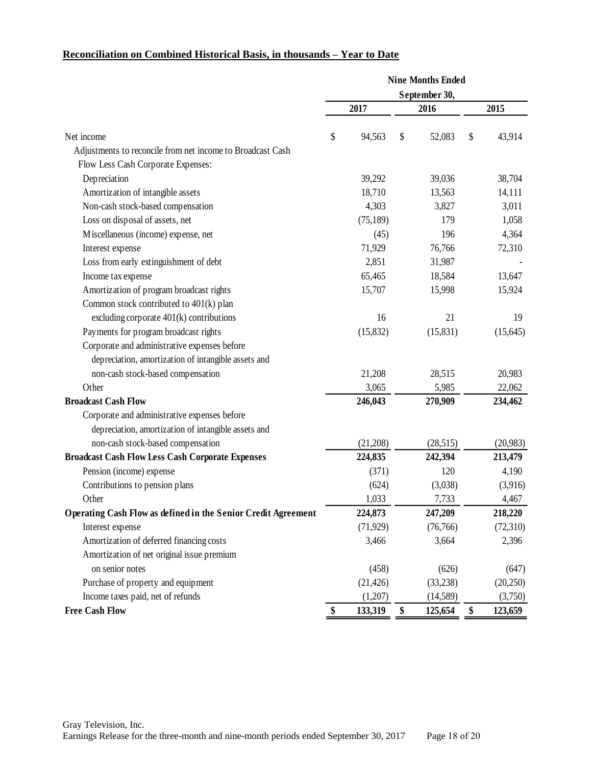# **Reconciliation on Combined Historical Basis, in thousands – Year to Date**

|                                                               |               | <b>Nine Months Ended</b> |    |           |    |           |
|---------------------------------------------------------------|---------------|--------------------------|----|-----------|----|-----------|
|                                                               | September 30, |                          |    |           |    |           |
|                                                               |               | 2017                     |    | 2016      |    | 2015      |
| Net income                                                    | \$            | 94,563                   | \$ | 52,083    | \$ | 43,914    |
| Adjustments to reconcile from net income to Broadcast Cash    |               |                          |    |           |    |           |
| Flow Less Cash Corporate Expenses:                            |               |                          |    |           |    |           |
| Depreciation                                                  |               | 39,292                   |    | 39,036    |    | 38,704    |
| Amortization of intangible assets                             |               | 18,710                   |    | 13,563    |    | 14,111    |
| Non-cash stock-based compensation                             |               | 4,303                    |    | 3,827     |    | 3,011     |
| Loss on disposal of assets, net                               |               | (75, 189)                |    | 179       |    | 1,058     |
| Miscellaneous (income) expense, net                           |               | (45)                     |    | 196       |    | 4,364     |
| Interest expense                                              |               | 71,929                   |    | 76,766    |    | 72,310    |
| Loss from early extinguishment of debt                        |               | 2,851                    |    | 31,987    |    |           |
| Income tax expense                                            |               | 65,465                   |    | 18,584    |    | 13,647    |
| Amortization of program broadcast rights                      |               | 15,707                   |    | 15,998    |    | 15,924    |
| Common stock contributed to 401(k) plan                       |               |                          |    |           |    |           |
| excluding corporate $401(k)$ contributions                    |               | 16                       |    | 21        |    | 19        |
| Payments for program broadcast rights                         |               | (15, 832)                |    | (15, 831) |    | (15, 645) |
| Corporate and administrative expenses before                  |               |                          |    |           |    |           |
| depreciation, amortization of intangible assets and           |               |                          |    |           |    |           |
| non-cash stock-based compensation                             |               | 21,208                   |    | 28,515    |    | 20,983    |
| Other                                                         |               | 3,065                    |    | 5,985     |    | 22,062    |
| <b>Broadcast Cash Flow</b>                                    |               | 246,043                  |    | 270,909   |    | 234,462   |
| Corporate and administrative expenses before                  |               |                          |    |           |    |           |
| depreciation, amortization of intangible assets and           |               |                          |    |           |    |           |
| non-cash stock-based compensation                             |               | (21,208)                 |    | (28,515)  |    | (20,983)  |
| <b>Broadcast Cash Flow Less Cash Corporate Expenses</b>       |               | 224,835                  |    | 242,394   |    | 213,479   |
| Pension (income) expense                                      |               | (371)                    |    | 120       |    | 4,190     |
| Contributions to pension plans                                |               | (624)                    |    | (3,038)   |    | (3,916)   |
| Other                                                         |               | 1,033                    |    | 7,733     |    | 4,467     |
| Operating Cash Flow as defined in the Senior Credit Agreement |               | 224,873                  |    | 247,209   |    | 218,220   |
| Interest expense                                              |               | (71, 929)                |    | (76, 766) |    | (72,310)  |
| Amortization of deferred financing costs                      |               | 3,466                    |    | 3,664     |    | 2,396     |
| Amortization of net original issue premium                    |               |                          |    |           |    |           |
| on senior notes                                               |               | (458)                    |    | (626)     |    | (647)     |
| Purchase of property and equipment                            |               | (21, 426)                |    | (33, 238) |    | (20,250)  |
| Income taxes paid, net of refunds                             |               | (1,207)                  |    | (14, 589) |    | (3,750)   |
| <b>Free Cash Flow</b>                                         | \$            | 133,319                  | \$ | 125,654   | \$ | 123,659   |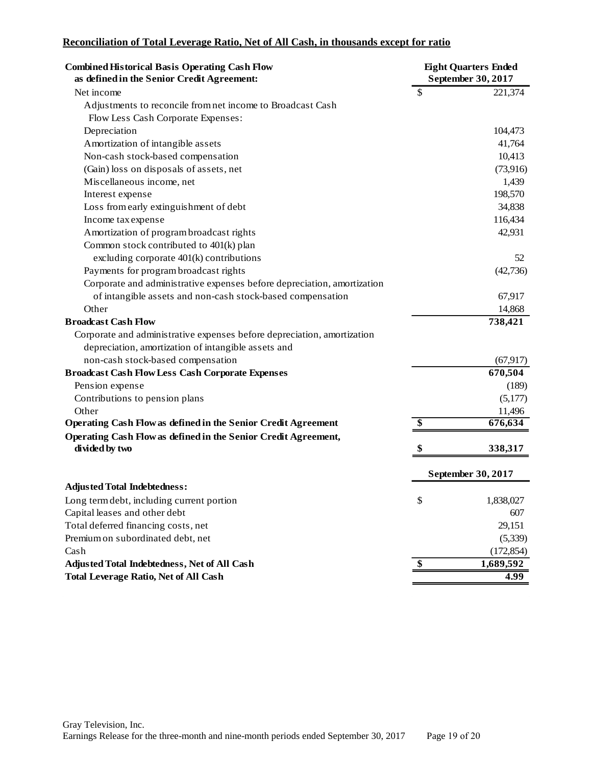# **Reconciliation of Total Leverage Ratio, Net of All Cash, in thousands except for ratio**

| <b>Combined Historical Basis Operating Cash Flow</b><br>as defined in the Senior Credit Agreement: | <b>Eight Quarters Ended</b><br>September 30, 2017 |                    |
|----------------------------------------------------------------------------------------------------|---------------------------------------------------|--------------------|
| Net income                                                                                         | \$                                                | 221,374            |
| Adjustments to reconcile from net income to Broadcast Cash                                         |                                                   |                    |
| Flow Less Cash Corporate Expenses:                                                                 |                                                   |                    |
| Depreciation                                                                                       |                                                   | 104,473            |
| Amortization of intangible assets                                                                  |                                                   | 41,764             |
| Non-cash stock-based compensation                                                                  |                                                   | 10,413             |
| (Gain) loss on disposals of assets, net                                                            |                                                   | (73, 916)          |
| Miscellaneous income, net                                                                          |                                                   | 1,439              |
| Interest expense                                                                                   |                                                   | 198,570            |
| Loss from early extinguishment of debt                                                             |                                                   | 34,838             |
| Income tax expense                                                                                 |                                                   | 116,434            |
| Amortization of program broadcast rights                                                           |                                                   | 42,931             |
| Common stock contributed to 401(k) plan                                                            |                                                   |                    |
| excluding corporate 401(k) contributions                                                           |                                                   | 52                 |
| Payments for program broadcast rights                                                              |                                                   | (42, 736)          |
| Corporate and administrative expenses before depreciation, amortization                            |                                                   |                    |
| of intangible assets and non-cash stock-based compensation                                         |                                                   | 67,917             |
| Other                                                                                              |                                                   | 14,868             |
| <b>Broadcast Cash Flow</b>                                                                         |                                                   | 738,421            |
| Corporate and administrative expenses before depreciation, amortization                            |                                                   |                    |
| depreciation, amortization of intangible assets and                                                |                                                   |                    |
| non-cash stock-based compensation                                                                  |                                                   | (67, 917)          |
| <b>Broadcast Cash Flow Less Cash Corporate Expenses</b>                                            |                                                   | 670,504            |
| Pension expense                                                                                    |                                                   | (189)              |
| Contributions to pension plans                                                                     |                                                   | (5,177)            |
| Other                                                                                              |                                                   | 11,496             |
| <b>Operating Cash Flow as defined in the Senior Credit Agreement</b>                               | \$                                                | 676,634            |
| Operating Cash Flow as defined in the Senior Credit Agreement,                                     |                                                   |                    |
| divided by two                                                                                     | \$                                                | 338,317            |
|                                                                                                    |                                                   | September 30, 2017 |
| <b>Adjusted Total Indebtedness:</b>                                                                |                                                   |                    |
| Long term debt, including current portion                                                          | \$                                                | 1,838,027          |
| Capital leases and other debt                                                                      |                                                   | 607                |
| Total deferred financing costs, net                                                                |                                                   | 29,151             |
| Premium on subordinated debt, net                                                                  |                                                   |                    |
|                                                                                                    |                                                   | (5,339)            |
| Cash                                                                                               |                                                   | (172, 854)         |
| Adjusted Total Indebtedness, Net of All Cash                                                       | \$                                                | 1,689,592          |
| <b>Total Leverage Ratio, Net of All Cash</b>                                                       |                                                   | 4.99               |